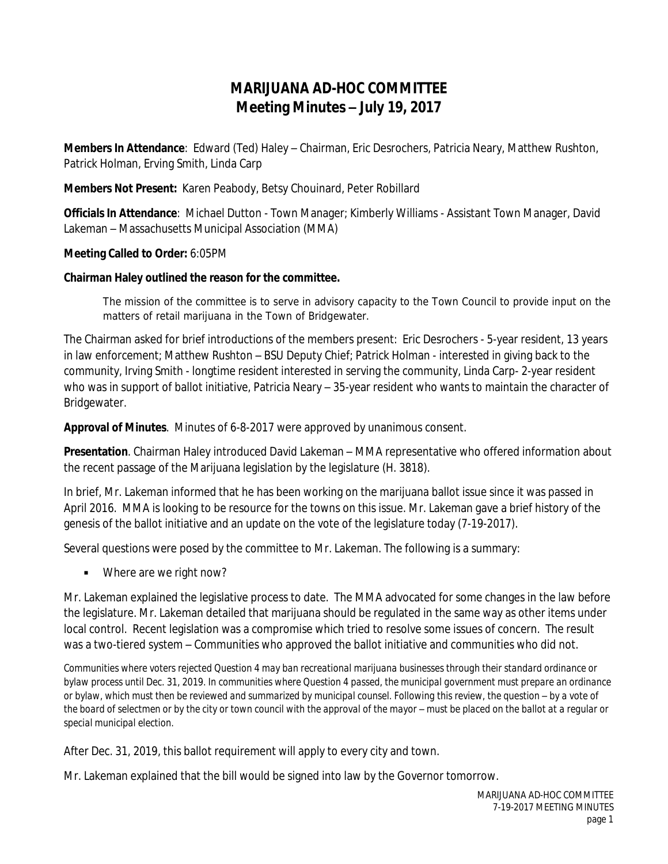## **MARIJUANA AD-HOC COMMITTEE Meeting Minutes – July 19, 2017**

**Members In Attendance**: Edward (Ted) Haley – Chairman, Eric Desrochers, Patricia Neary, Matthew Rushton, Patrick Holman, Erving Smith, Linda Carp

**Members Not Present:** Karen Peabody, Betsy Chouinard, Peter Robillard

**Officials In Attendance**: Michael Dutton - Town Manager; Kimberly Williams - Assistant Town Manager, David Lakeman – Massachusetts Municipal Association (MMA)

**Meeting Called to Order:** 6:05PM

## **Chairman Haley outlined the reason for the committee.**

*The mission of the committee is to serve in advisory capacity to the Town Council to provide input on the matters of retail marijuana in the Town of Bridgewater.* 

The Chairman asked for brief introductions of the members present: Eric Desrochers - 5-year resident, 13 years in law enforcement; Matthew Rushton – BSU Deputy Chief; Patrick Holman - interested in giving back to the community, Irving Smith - longtime resident interested in serving the community, Linda Carp- 2-year resident who was in support of ballot initiative, Patricia Neary – 35-year resident who wants to maintain the character of Bridgewater.

**Approval of Minutes**. Minutes of 6-8-2017 were approved by unanimous consent.

**Presentation**. Chairman Haley introduced David Lakeman – MMA representative who offered information about the recent passage of the Marijuana legislation by the legislature (H. 3818).

In brief, Mr. Lakeman informed that he has been working on the marijuana ballot issue since it was passed in April 2016. MMA is looking to be resource for the towns on this issue. Mr. Lakeman gave a brief history of the genesis of the ballot initiative and an update on the vote of the legislature today (*7-19-2017*).

Several questions were posed by the committee to Mr. Lakeman. The following is a summary:

■ Where are we right now?

Mr. Lakeman explained the legislative process to date. The MMA advocated for some changes in the law before the legislature. Mr. Lakeman detailed that marijuana should be regulated in the same way as other items under local control. Recent legislation was a compromise which tried to resolve some issues of concern. The result was a two-tiered system – Communities who approved the ballot initiative and communities who did not.

*Communities where voters rejected Question 4 may ban recreational marijuana businesses through their standard ordinance or bylaw process until Dec. 31, 2019. In communities where Question 4 passed, the municipal government must prepare an ordinance or bylaw, which must then be reviewed and summarized by municipal counsel. Following this review, the question – by a vote of* the board of selectmen or by the city or town council with the approval of the mayor – must be placed on the ballot at a regular or *special municipal election.*

After Dec. 31, 2019, this ballot requirement will apply to every city and town.

Mr. Lakeman explained that the bill would be signed into law by the Governor tomorrow.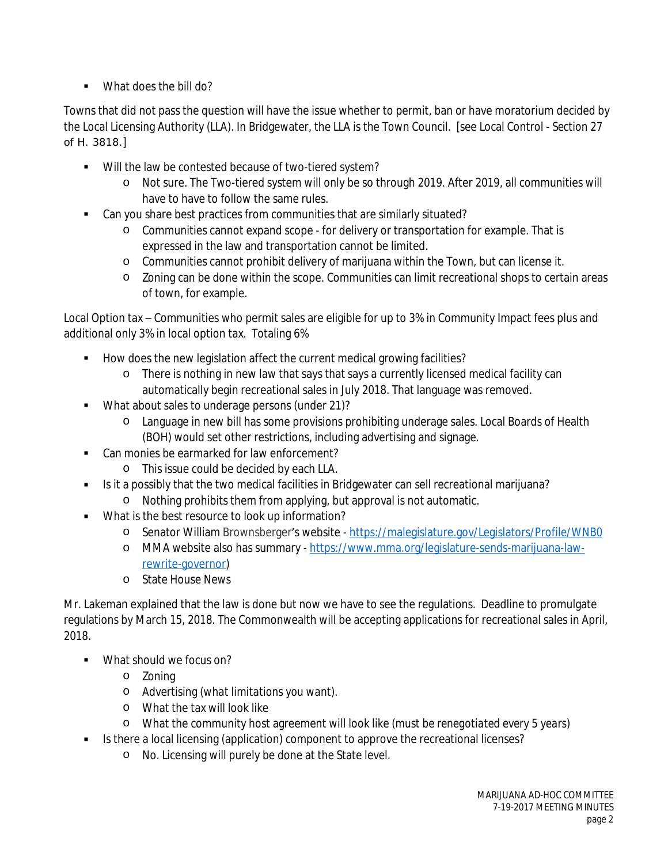■ What does the bill do?

Towns that did not pass the question will have the issue whether to permit, ban or have moratorium decided by the Local Licensing Authority (LLA). In Bridgewater, the LLA is the Town Council. [see Local Control - *Section 27 of H. 3818.*]

- Will the law be contested because of two-tiered system?
	- o Not sure. The Two-tiered system will only be so through 2019. After 2019, all communities will have to have to follow the same rules.
- Can you share best practices from communities that are similarly situated?
	- o Communities cannot expand scope for delivery or transportation for example. That is expressed in the law and transportation cannot be limited.
	- o Communities cannot prohibit delivery of marijuana within the Town, but can license it.
	- o Zoning can be done within the scope. Communities can limit recreational shops to certain areas of town, for example.

Local Option tax – Communities who permit sales are eligible for up to 3% in Community Impact fees plus and additional only 3% in local option tax. Totaling 6%

- How does the new legislation affect the current medical growing facilities?
	- o There is nothing in new law that says that says a currently licensed medical facility can automatically begin recreational sales in July 2018. That language was removed.
- What about sales to underage persons (under 21)?
	- o Language in new bill has some provisions prohibiting underage sales. Local Boards of Health (BOH) would set other restrictions, including advertising and signage.
- Can monies be earmarked for law enforcement?
	- o This issue could be decided by each LLA.
- Is it a possibly that the two medical facilities in Bridgewater can sell recreational marijuana?
	- o Nothing prohibits them from applying, but approval is not automatic.
- What is the best resource to look up information?
	- o Senator William Brownsberger's website <https://malegislature.gov/Legislators/Profile/WNB0>
	- o MMA website also has summary - [https://www.mma.org/legislature-sends-marijuana-law](https://www.mma.org/legislature-sends-marijuana-law-rewrite-governor)rewrite-governor)
	- o State House News

Mr. Lakeman explained that the law is done but now we have to see the regulations. Deadline to promulgate regulations by March 15, 2018. The Commonwealth will be accepting applications for recreational sales in April, 2018.

- What should we focus on?
	- o Zoning
	- o Advertising (*what limitations you want*).
	- o What the tax will look like
	- o What the community host agreement will look like (*must be renegotiated every 5 years*)
- Is there a local licensing (application) component to approve the recreational licenses?
	- o No. Licensing will purely be done at the State level.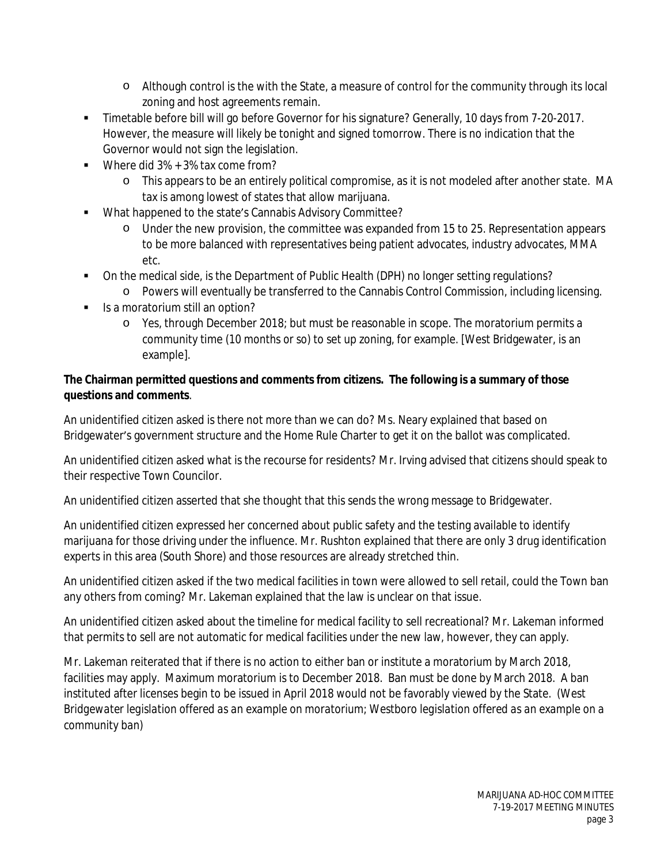- o Although control is the with the State, a measure of control for the community through its local zoning and host agreements remain.
- **Timetable before bill will go before Governor for his signature? Generally, 10 days from 7-20-2017.** However, the measure will likely be tonight and signed tomorrow. There is no indication that the Governor would not sign the legislation.
- Where did  $3\% + 3\%$  tax come from?
	- o This appears to be an entirely political compromise, as it is not modeled after another state. MA tax is among lowest of states that allow marijuana.
- What happened to the state's Cannabis Advisory Committee?
	- o Under the new provision, the committee was expanded from 15 to 25. Representation appears to be more balanced with representatives being patient advocates, industry advocates, MMA etc.
- On the medical side, is the Department of Public Health (DPH) no longer setting regulations?
	- o Powers will eventually be transferred to the Cannabis Control Commission, including licensing.
- $\blacksquare$  Is a moratorium still an option?
	- o Yes, through December 2018; but must be reasonable in scope. The moratorium permits a community time (*10 months or so*) to set up zoning, for example. [West Bridgewater, is an example].

## **The Chairman permitted questions and comments from citizens. The following is a summary of those questions and comments**.

An unidentified citizen asked is there not more than we can do? Ms. Neary explained that based on Bridgewater's government structure and the Home Rule Charter to get it on the ballot was complicated.

An unidentified citizen asked what is the recourse for residents? Mr. Irving advised that citizens should speak to their respective Town Councilor.

An unidentified citizen asserted that she thought that this sends the wrong message to Bridgewater.

An unidentified citizen expressed her concerned about public safety and the testing available to identify marijuana for those driving under the influence. Mr. Rushton explained that there are only 3 drug identification experts in this area (South Shore) and those resources are already stretched thin.

An unidentified citizen asked if the two medical facilities in town were allowed to sell retail, could the Town ban any others from coming? Mr. Lakeman explained that the law is unclear on that issue.

An unidentified citizen asked about the timeline for medical facility to sell recreational? Mr. Lakeman informed that permits to sell are not automatic for medical facilities under the new law, however, they can apply.

Mr. Lakeman reiterated that if there is no action to either ban or institute a moratorium by March 2018, facilities may apply. Maximum moratorium is to December 2018. Ban must be done by March 2018. A ban instituted after licenses begin to be issued in April 2018 would not be favorably viewed by the State. *(West Bridgewater legislation offered as an example on moratorium; Westboro legislation offered as an example on a community ban)*